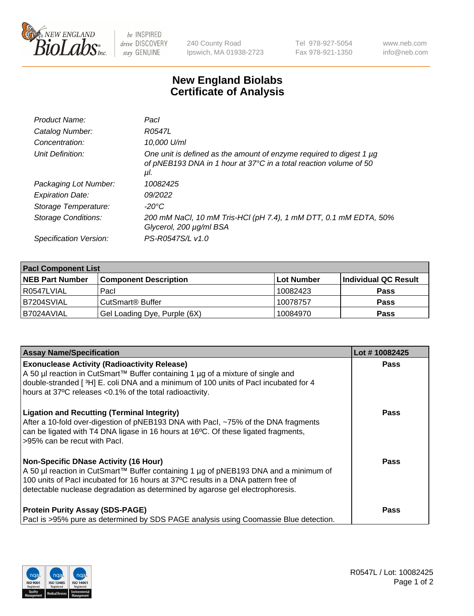

 $be$  INSPIRED drive DISCOVERY stay GENUINE

240 County Road Ipswich, MA 01938-2723 Tel 978-927-5054 Fax 978-921-1350 www.neb.com info@neb.com

## **New England Biolabs Certificate of Analysis**

| Product Name:           | Pacl                                                                                                                                            |
|-------------------------|-------------------------------------------------------------------------------------------------------------------------------------------------|
| Catalog Number:         | R0547L                                                                                                                                          |
| Concentration:          | 10,000 U/ml                                                                                                                                     |
| Unit Definition:        | One unit is defined as the amount of enzyme required to digest 1 µg<br>of pNEB193 DNA in 1 hour at 37°C in a total reaction volume of 50<br>μI. |
| Packaging Lot Number:   | 10082425                                                                                                                                        |
| <b>Expiration Date:</b> | 09/2022                                                                                                                                         |
| Storage Temperature:    | $-20^{\circ}$ C                                                                                                                                 |
| Storage Conditions:     | 200 mM NaCl, 10 mM Tris-HCl (pH 7.4), 1 mM DTT, 0.1 mM EDTA, 50%<br>Glycerol, 200 µg/ml BSA                                                     |
| Specification Version:  | PS-R0547S/L v1.0                                                                                                                                |

| <b>Pacl Component List</b> |                              |             |                      |  |  |
|----------------------------|------------------------------|-------------|----------------------|--|--|
| <b>NEB Part Number</b>     | <b>Component Description</b> | ∣Lot Number | Individual QC Result |  |  |
| R0547LVIAL                 | Pacl                         | 10082423    | <b>Pass</b>          |  |  |
| B7204SVIAL                 | CutSmart <sup>®</sup> Buffer | 10078757    | <b>Pass</b>          |  |  |
| B7024AVIAL                 | Gel Loading Dye, Purple (6X) | 10084970    | <b>Pass</b>          |  |  |

| <b>Assay Name/Specification</b>                                                                                                                                                                                                                                                                            | Lot #10082425 |
|------------------------------------------------------------------------------------------------------------------------------------------------------------------------------------------------------------------------------------------------------------------------------------------------------------|---------------|
| <b>Exonuclease Activity (Radioactivity Release)</b><br>A 50 µl reaction in CutSmart™ Buffer containing 1 µg of a mixture of single and<br>double-stranded [3H] E. coli DNA and a minimum of 100 units of Pacl incubated for 4                                                                              | <b>Pass</b>   |
| hours at 37°C releases <0.1% of the total radioactivity.                                                                                                                                                                                                                                                   |               |
| <b>Ligation and Recutting (Terminal Integrity)</b><br>After a 10-fold over-digestion of pNEB193 DNA with Pacl, ~75% of the DNA fragments<br>can be ligated with T4 DNA ligase in 16 hours at 16°C. Of these ligated fragments,<br>>95% can be recut with Pacl.                                             | <b>Pass</b>   |
| <b>Non-Specific DNase Activity (16 Hour)</b><br>A 50 µl reaction in CutSmart™ Buffer containing 1 µg of pNEB193 DNA and a minimum of<br>100 units of PacI incubated for 16 hours at 37°C results in a DNA pattern free of<br>detectable nuclease degradation as determined by agarose gel electrophoresis. | Pass          |
| <b>Protein Purity Assay (SDS-PAGE)</b><br>Pacl is >95% pure as determined by SDS PAGE analysis using Coomassie Blue detection.                                                                                                                                                                             | Pass          |